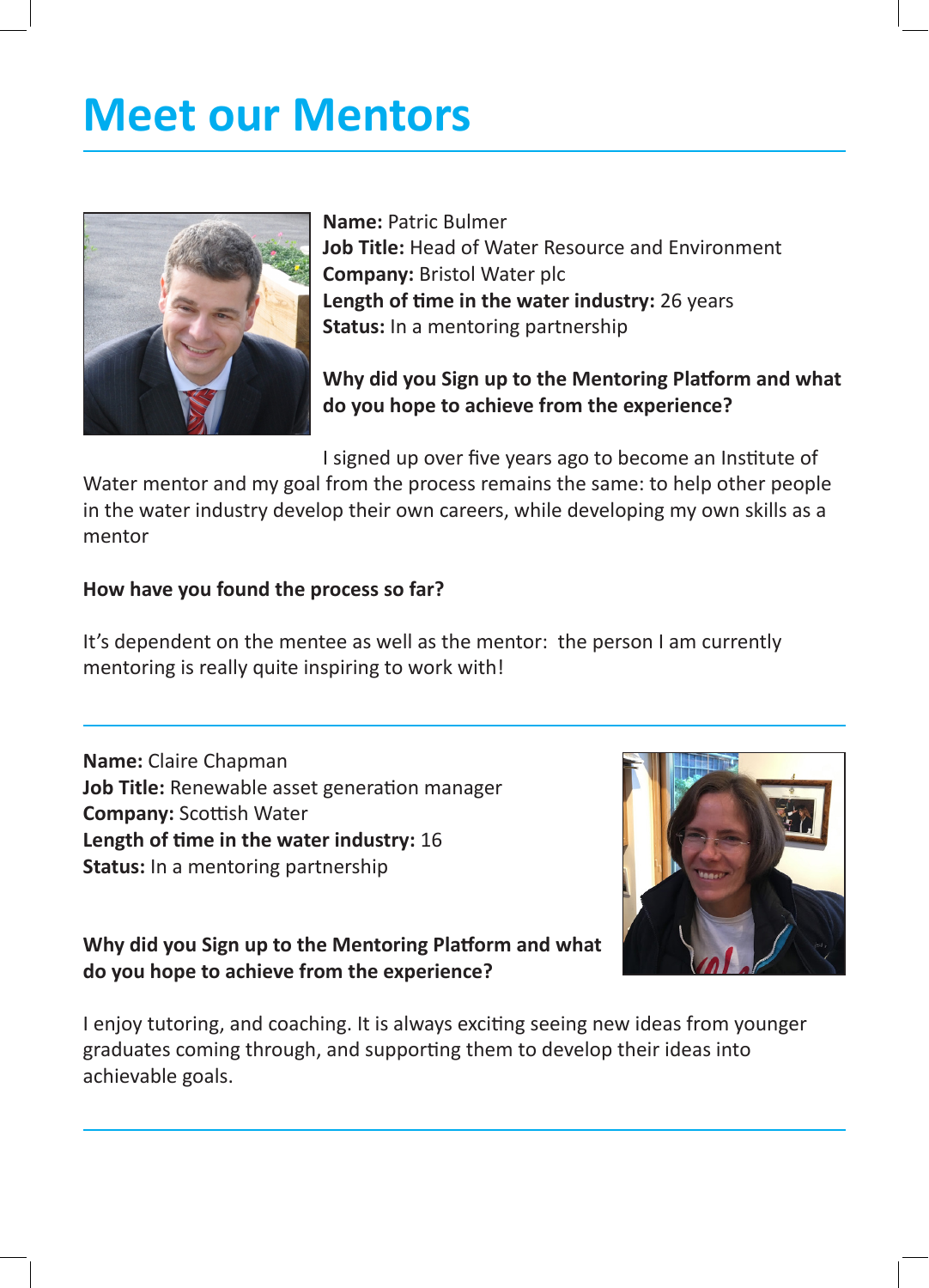# **Meet our Mentors**



**Name:** Patric Bulmer **Job Title:** Head of Water Resource and Environment **Company:** Bristol Water plc **Length of time in the water industry:** 26 years **Status:** In a mentoring partnership

# **Why did you Sign up to the Mentoring Platform and what do you hope to achieve from the experience?**

I signed up over five years ago to become an Institute of

Water mentor and my goal from the process remains the same: to help other people in the water industry develop their own careers, while developing my own skills as a mentor

#### **How have you found the process so far?**

It's dependent on the mentee as well as the mentor: the person I am currently mentoring is really quite inspiring to work with!

**Name:** Claire Chapman **Job Title:** Renewable asset generation manager **Company:** Scottish Water **Length of time in the water industry:** 16 **Status:** In a mentoring partnership



**Why did you Sign up to the Mentoring Platform and what do you hope to achieve from the experience?**

I enjoy tutoring, and coaching. It is always exciting seeing new ideas from younger graduates coming through, and supporting them to develop their ideas into achievable goals.